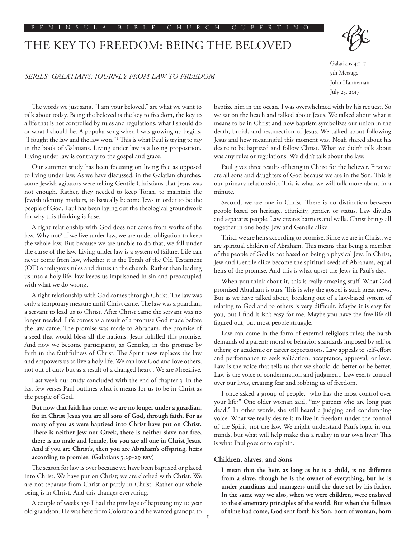## THE KEY TO FREEDOM: BEING THE BELOVED



Galatians 4:1–7 5th Message John Hanneman

July 23, 2017

The words we just sang, "I am your beloved," are what we want to talk about today. Being the beloved is the key to freedom, the key to a life that is not controlled by rules and regulations, what I should do or what I should be. A popular song when I was growing up begins, "I fought the law and the law won."1 This is what Paul is trying to say in the book of Galatians. Living under law is a losing proposition. Living under law is contrary to the gospel and grace.

Our summer study has been focusing on living free as opposed to living under law. As we have discussed, in the Galatian churches, some Jewish agitators were telling Gentile Christians that Jesus was not enough. Rather, they needed to keep Torah, to maintain the Jewish identity markers, to basically become Jews in order to be the people of God. Paul has been laying out the theological groundwork for why this thinking is false.

A right relationship with God does not come from works of the law. Why not? If we live under law, we are under obligation to keep the whole law. But because we are unable to do that, we fall under the curse of the law. Living under law is a system of failure. Life can never come from law, whether it is the Torah of the Old Testament (OT) or religious rules and duties in the church. Rather than leading us into a holy life, law keeps us imprisoned in sin and preoccupied with what we do wrong.

A right relationship with God comes through Christ. The law was only a temporary measure until Christ came. The law was a guardian, a servant to lead us to Christ. After Christ came the servant was no longer needed. Life comes as a result of a promise God made before the law came. The promise was made to Abraham, the promise of a seed that would bless all the nations. Jesus fulfilled this promise. And now we become participants, as Gentiles, in this promise by faith in the faithfulness of Christ. The Spirit now replaces the law and empowers us to live a holy life. We can love God and love others, not out of duty but as a result of a changed heart . We are #free2live.

Last week our study concluded with the end of chapter 3. In the last few verses Paul outlines what it means for us to be in Christ as the people of God.

**But now that faith has come, we are no longer under a guardian, for in Christ Jesus you are all sons of God, through faith. For as many of you as were baptized into Christ have put on Christ. There is neither Jew nor Greek, there is neither slave nor free, there is no male and female, for you are all one in Christ Jesus. And if you are Christ's, then you are Abraham's offspring, heirs according to promise. (Galatians 3:25–29 ESV)**

The season for law is over because we have been baptized or placed into Christ. We have put on Christ; we are clothed with Christ. We are not separate from Christ or partly in Christ. Rather our whole being is in Christ. And this changes everything.

A couple of weeks ago I had the privilege of baptizing my 10 year old grandson. He was here from Colorado and he wanted grandpa to baptize him in the ocean. I was overwhelmed with by his request. So we sat on the beach and talked about Jesus. We talked about what it means to be in Christ and how baptism symbolizes our union in the death, burial, and resurrection of Jesus. We talked about following Jesus and how meaningful this moment was. Noah shared about his desire to be baptized and follow Christ. What we didn't talk about was any rules or regulations. We didn't talk about the law.

Paul gives three results of being in Christ for the believer. First we are all sons and daughters of God because we are in the Son. This is our primary relationship. This is what we will talk more about in a minute.

Second, we are one in Christ. There is no distinction between people based on heritage, ethnicity, gender, or status. Law divides and separates people. Law creates barriers and walls. Christ brings all together in one body, Jew and Gentile alike.

Third, we are heirs according to promise. Since we are in Christ, we are spiritual children of Abraham. This means that being a member of the people of God is not based on being a physical Jew. In Christ, Jew and Gentile alike become the spiritual seeds of Abraham, equal heirs of the promise. And this is what upset the Jews in Paul's day.

When you think about it, this is really amazing stuff. What God promised Abraham is ours. This is why the gospel is such great news. But as we have talked about, breaking out of a law-based system of relating to God and to others is very difficult. Maybe it is easy for you, but I find it isn't easy for me. Maybe you have the free life all figured out, but most people struggle.

Law can come in the form of external religious rules; the harsh demands of a parent; moral or behavior standards imposed by self or others; or academic or career expectations. Law appeals to self-effort and performance to seek validation, acceptance, approval, or love. Law is the voice that tells us that we should do better or be better. Law is the voice of condemnation and judgment. Law exerts control over our lives, creating fear and robbing us of freedom.

I once asked a group of people, "who has the most control over your life?" One older woman said, "my parents who are long past dead." In other words, she still heard a judging and condemning voice. What we really desire is to live in freedom under the control of the Spirit, not the law. We might understand Paul's logic in our minds, but what will help make this a reality in our own lives? This is what Paul goes onto explain.

## **Children, Slaves, and Sons**

**I mean that the heir, as long as he is a child, is no different from a slave, though he is the owner of everything, but he is under guardians and managers until the date set by his father. In the same way we also, when we were children, were enslaved to the elementary principles of the world. But when the fullness of time had come, God sent forth his Son, born of woman, born**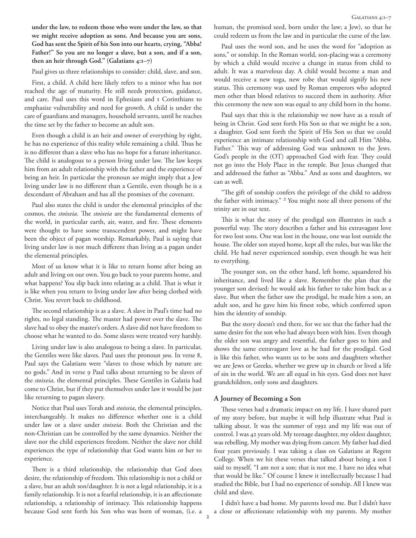**under the law, to redeem those who were under the law, so that we might receive adoption as sons. And because you are sons, God has sent the Spirit of his Son into our hearts, crying, "Abba! Father!" So you are no longer a slave, but a son, and if a son, then an heir through God." (Galatians 4:1–7)**

Paul gives us three relationships to consider: child, slave, and son.

First, a child. A child here likely refers to a minor who has not reached the age of maturity. He still needs protection, guidance, and care. Paul uses this word in Ephesians and 1 Corinthians to emphasize vulnerability and need for growth. A child is under the care of guardians and managers, household servants, until he reaches the time set by the father to become an adult son.

Even though a child is an heir and owner of everything by right, he has no experience of this reality while remaining a child. Thus he is no different than a slave who has no hope for a future inheritance. The child is analogous to a person living under law. The law keeps him from an adult relationship with the father and the experience of being an heir. In particular the pronoun *we* might imply that a Jew living under law is no different than a Gentile, even though he is a descendant of Abraham and has all the promises of the covenant.

Paul also states the child is under the elemental principles of the cosmos, the *stoixeia*. The *stoixeia* are the fundamental elements of the world, in particular earth, air, water, and fire. These elements were thought to have some transcendent power, and might have been the object of pagan worship. Remarkably, Paul is saying that living under law is not much different than living as a pagan under the elemental principles.

Most of us know what it is like to return home after being an adult and living on our own. You go back to your parents home, and what happens? You slip back into relating as a child. That is what it is like when you return to living under law after being clothed with Christ. You revert back to childhood.

The second relationship is as a slave. A slave in Paul's time had no rights, no legal standing. The master had power over the slave. The slave had to obey the master's orders. A slave did not have freedom to choose what he wanted to do. Some slaves were treated very harshly.

Living under law is also analogous to being a slave. In particular, the Gentiles were like slaves. Paul uses the pronoun *you*. In verse 8, Paul says the Galatians were "slaves to those which by nature are no gods." And in verse 9 Paul talks about returning to be slaves of the *stoixeia*, the elemental principles. These Gentiles in Galatia had come to Christ, but if they put themselves under law it would be just like returning to pagan slavery.

Notice that Paul uses Torah and *stoixeia*, the elemental principles, interchangeably. It makes no difference whether one is a child under law or a slave under *stoixeia*. Both the Christian and the non-Christian can be controlled by the same dynamics. Neither the slave nor the child experiences freedom. Neither the slave nor child experiences the type of relationship that God wants him or her to experience.

There is a third relationship, the relationship that God does desire, the relationship of freedom. This relationship is not a child or a slave, but an adult son/daughter. It is not a legal relationship, it is a family relationship. It is not a fearful relationship, it is an affectionate relationship, a relationship of intimacy. This relationship happens because God sent forth his Son who was born of woman, (i.e. a human, the promised seed, born under the law; a Jew), so that he could redeem us from the law and in particular the curse of the law.

Paul uses the word son, and he uses the word for "adoption as sons," or sonship. In the Roman world, son-placing was a ceremony by which a child would receive a change in status from child to adult. It was a marvelous day. A child would become a man and would receive a new toga, new robe that would signify his new status. This ceremony was used by Roman emperors who adopted men other than blood relatives to succeed them in authority. After this ceremony the new son was equal to any child born in the home.

Paul says that this is the relationship we now have as a result of being in Christ. God sent forth His Son so that we might be a son, a daughter. God sent forth the Spirit of His Son so that we could experience an intimate relationship with God and call Him "Abba, Father." This way of addressing God was unknown to the Jews. God's people in the (OT) approached God with fear. They could not go into the Holy Place in the temple. But Jesus changed that and addressed the father as "Abba." And as sons and daughters, we can as well.

"The gift of sonship confers the privilege of the child to address the father with intimacy." 2 You might note all three persons of the trinity are in our text.

This is what the story of the prodigal son illustrates in such a powerful way. The story describes a father and his extravagant love for two lost sons. One was lost in the house, one was lost outside the house. The older son stayed home, kept all the rules, but was like the child. He had never experienced sonship, even though he was heir to everything.

The younger son, on the other hand, left home, squandered his inheritance, and lived like a slave. Remember the plan that the younger son devised: he would ask his father to take him back as a slave. But when the father saw the prodigal, he made him a son, an adult son, and he gave him his finest robe, which conferred upon him the identity of sonship.

But the story doesn't end there, for we see that the father had the same desire for the son who had always been with him. Even though the older son was angry and resentful, the father goes to him and shows the same extravagant love as he had for the prodigal. God is like this father, who wants us to be sons and daughters whether we are Jews or Greeks, whether we grew up in church or lived a life of sin in the world. We are all equal in his eyes. God does not have grandchildren, only sons and daughters.

## **A Journey of Becoming a Son**

These verses had a dramatic impact on my life. I have shared part of my story before, but maybe it will help illustrate what Paul is talking about. It was the summer of 1992 and my life was out of control. I was 42 years old. My teenage daughter, my oldest daughter, was rebelling. My mother was dying from cancer. My father had died four years previously. I was taking a class on Galatians at Regent College. When we hit these verses that talked about being a son I said to myself, "I am not a son; that is not me. I have no idea what that would be like." Of course I knew it intellectually because I had studied the Bible, but I had no experience of sonship. All I knew was child and slave.

I didn't have a bad home. My parents loved me. But I didn't have a close or affectionate relationship with my parents. My mother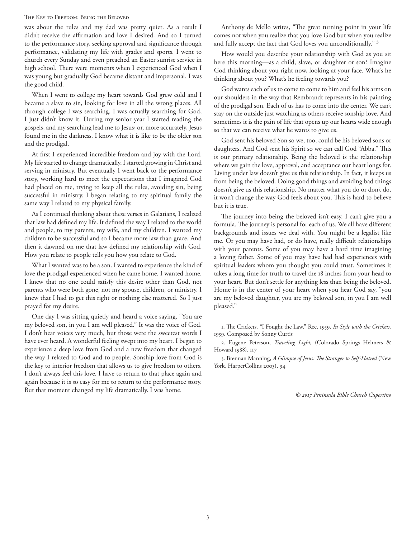## The Key to Freedom: Being the Beloved

was about the rules and my dad was pretty quiet. As a result I didn't receive the affirmation and love I desired. And so I turned to the performance story, seeking approval and significance through performance, validating my life with grades and sports. I went to church every Sunday and even preached an Easter sunrise service in high school. There were moments when I experienced God when I was young but gradually God became distant and impersonal. I was the good child.

When I went to college my heart towards God grew cold and I became a slave to sin, looking for love in all the wrong places. All through college I was searching. I was actually searching for God, I just didn't know it. During my senior year I started reading the gospels, and my searching lead me to Jesus; or, more accurately, Jesus found me in the darkness. I know what it is like to be the older son and the prodigal.

At first I experienced incredible freedom and joy with the Lord. My life started to change dramatically. I started growing in Christ and serving in ministry. But eventually I went back to the performance story, working hard to meet the expectations that I imagined God had placed on me, trying to keep all the rules, avoiding sin, being successful in ministry. I began relating to my spiritual family the same way I related to my physical family.

As I continued thinking about these verses in Galatians, I realized that law had defined my life. It defined the way I related to the world and people, to my parents, my wife, and my children. I wanted my children to be successful and so I became more law than grace. And then it dawned on me that law defined my relationship with God. How you relate to people tells you how you relate to God.

What I wanted was to be a son. I wanted to experience the kind of love the prodigal experienced when he came home. I wanted home. I knew that no one could satisfy this desire other than God, not parents who were both gone, not my spouse, children, or ministry. I knew that I had to get this right or nothing else mattered. So I just prayed for my desire.

One day I was sitting quietly and heard a voice saying, "You are my beloved son, in you I am well pleased." It was the voice of God. I don't hear voices very much, but those were the sweetest words I have ever heard. A wonderful feeling swept into my heart. I began to experience a deep love from God and a new freedom that changed the way I related to God and to people. Sonship love from God is the key to interior freedom that allows us to give freedom to others. I don't always feel this love. I have to return to that place again and again because it is so easy for me to return to the performance story. But that moment changed my life dramatically. I was home.

Anthony de Mello writes, "The great turning point in your life comes not when you realize that you love God but when you realize and fully accept the fact that God loves you unconditionally." 3

How would you describe your relationship with God as you sit here this morning—as a child, slave, or daughter or son? Imagine God thinking about you right now, looking at your face. What's he thinking about you? What's he feeling towards you?

God wants each of us to come to come to him and feel his arms on our shoulders in the way that Rembrandt represents in his painting of the prodigal son. Each of us has to come into the center. We can't stay on the outside just watching as others receive sonship love. And sometimes it is the pain of life that opens up our hearts wide enough so that we can receive what he wants to give us.

God sent his beloved Son so we, too, could be his beloved sons or daughters. And God sent his Spirit so we can call God "Abba." This is our primary relationship. Being the beloved is the relationship where we gain the love, approval, and acceptance our heart longs for. Living under law doesn't give us this relationship. In fact, it keeps us from being the beloved. Doing good things and avoiding bad things doesn't give us this relationship. No matter what you do or don't do, it won't change the way God feels about you. This is hard to believe but it is true.

The journey into being the beloved isn't easy. I can't give you a formula. The journey is personal for each of us. We all have different backgrounds and issues we deal with. You might be a legalist like me. Or you may have had, or do have, really difficult relationships with your parents. Some of you may have a hard time imagining a loving father. Some of you may have had bad experiences with spiritual leaders whom you thought you could trust. Sometimes it takes a long time for truth to travel the 18 inches from your head to your heart. But don't settle for anything less than being the beloved. Home is in the center of your heart when you hear God say, "you are my beloved daughter, you are my beloved son, in you I am well pleased."

1. The Crickets. "I Fought the Law." Rec. 1959. *In Style with the Crickets.*  1959. Composed by Sonny Curtis

2. Eugene Peterson, *Traveling Light,* (Colorado Springs Helmers & Howard 1988), 117

3. Brennan Manning, *A Glimpse of Jesus: The Stranger to Self-Hatred* (New York, HarperCollins 2003), 94

*© 2017 Peninsula Bible Church Cupertino*